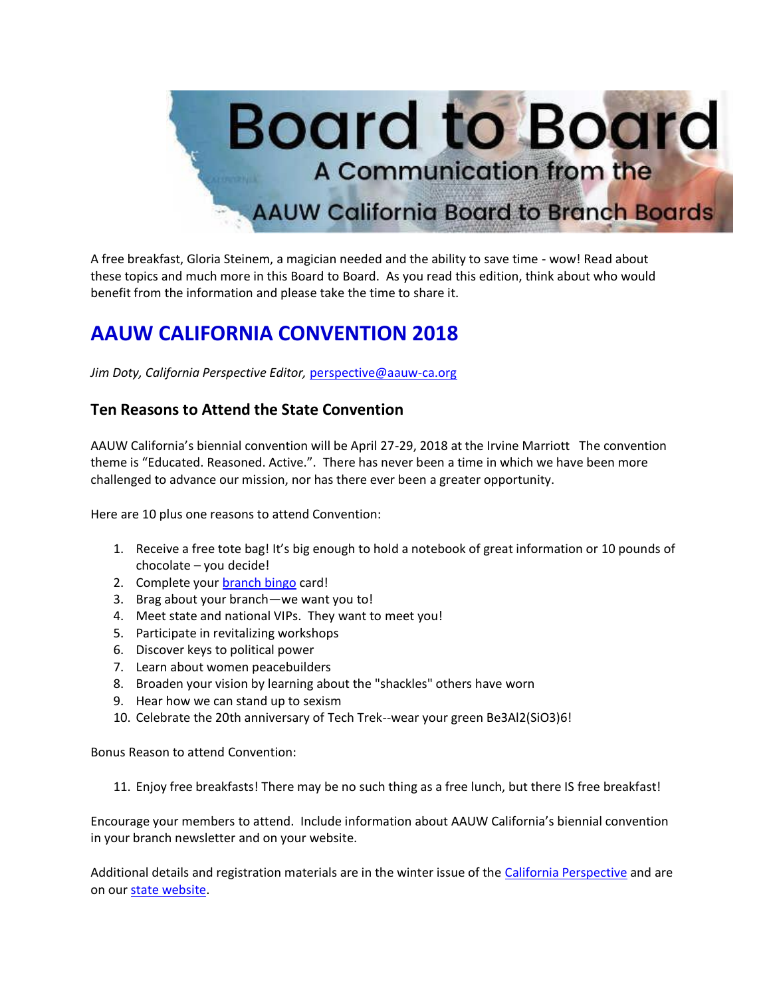

A free breakfast, Gloria Steinem, a magician needed and the ability to save time - wow! Read about these topics and much more in this Board to Board. As you read this edition, think about who would benefit from the information and please take the time to share it.

# **AAUW CALIFORNIA CONVENTION 2018**

*Jim Doty, California Perspective Editor,* [perspective@aauw-ca.org](mailto:perspective@aauw-ca.org)

### **Ten Reasons to Attend the State Convention**

AAUW California's biennial convention will be April 27-29, 2018 at the Irvine Marriott The convention theme is "Educated. Reasoned. Active.". There has never been a time in which we have been more challenged to advance our mission, nor has there ever been a greater opportunity.

Here are 10 plus one reasons to attend Convention:

- 1. Receive a free tote bag! It's big enough to hold a notebook of great information or 10 pounds of chocolate – you decide!
- 2. Complete your [branch bingo](https://bor.aauw-ca.org/sendy/l/YlrJ763AeyF892b51vFm0EptRw/VrRpeVcTsLBXfOjgBDCGRw/Exg1GtAXeKFHKLCQQ9cRJw) card!
- 3. Brag about your branch—we want you to!
- 4. Meet state and national VIPs. They want to meet you!
- 5. Participate in revitalizing workshops
- 6. Discover keys to political power
- 7. Learn about women peacebuilders
- 8. Broaden your vision by learning about the "shackles" others have worn
- 9. Hear how we can stand up to sexism
- 10. Celebrate the 20th anniversary of Tech Trek--wear your green Be3Al2(SiO3)6!

Bonus Reason to attend Convention:

11. Enjoy free breakfasts! There may be no such thing as a free lunch, but there IS free breakfast!

Encourage your members to attend. Include information about AAUW California's biennial convention in your branch newsletter and on your website.

Additional details and registration materials are in the winter issue of the [California Perspective](https://bor.aauw-ca.org/sendy/l/YlrJ763AeyF892b51vFm0EptRw/OfKsoptQzRUsfM5VemfcHw/Exg1GtAXeKFHKLCQQ9cRJw) and are on our [state website.](https://bor.aauw-ca.org/sendy/l/YlrJ763AeyF892b51vFm0EptRw/JjCzPLLlinRQJ763z61qdXew/Exg1GtAXeKFHKLCQQ9cRJw)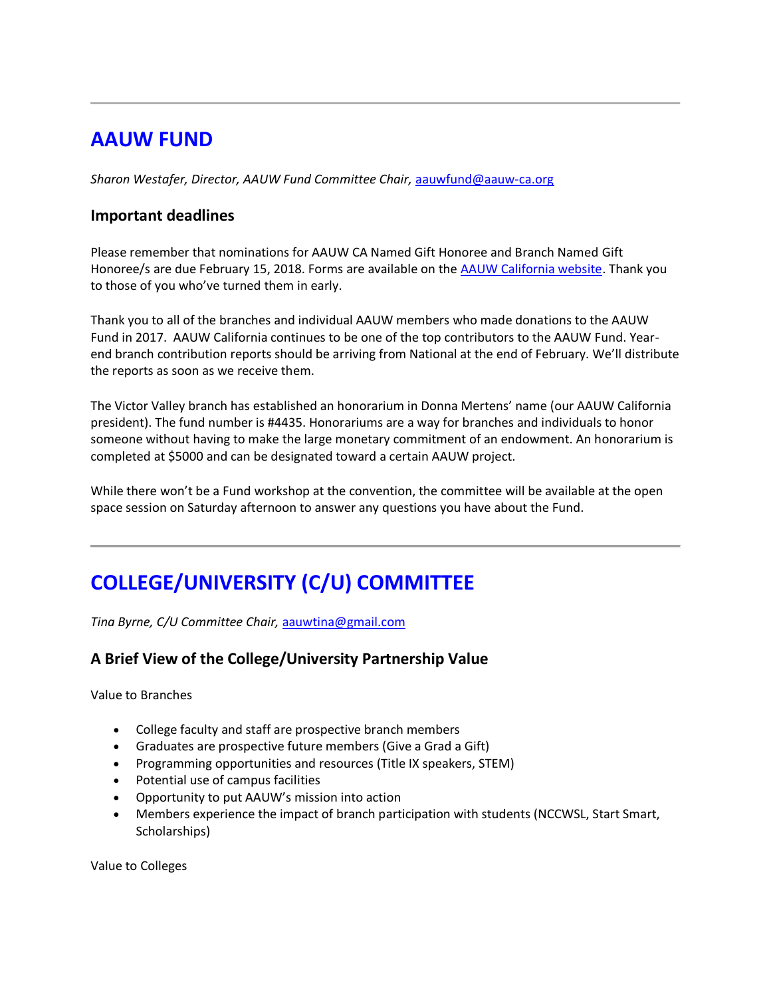# **AAUW FUND**

*Sharon Westafer, Director, AAUW Fund Committee Chair,* [aauwfund@aauw-ca.org](mailto:aauwfund@aauw-ca.org)

### **Important deadlines**

Please remember that nominations for AAUW CA Named Gift Honoree and Branch Named Gift Honoree/s are due February 15, 2018. Forms are available on the **AAUW California website**. Thank you to those of you who've turned them in early.

Thank you to all of the branches and individual AAUW members who made donations to the AAUW Fund in 2017. AAUW California continues to be one of the top contributors to the AAUW Fund. Yearend branch contribution reports should be arriving from National at the end of February. We'll distribute the reports as soon as we receive them.

The Victor Valley branch has established an honorarium in Donna Mertens' name (our AAUW California president). The fund number is #4435. Honorariums are a way for branches and individuals to honor someone without having to make the large monetary commitment of an endowment. An honorarium is completed at \$5000 and can be designated toward a certain AAUW project.

While there won't be a Fund workshop at the convention, the committee will be available at the open space session on Saturday afternoon to answer any questions you have about the Fund.

# **COLLEGE/UNIVERSITY (C/U) COMMITTEE**

*Tina Byrne, C/U Committee Chair,* [aauwtina@gmail.com](mailto:aauwtina@gmail.com)

### **A Brief View of the College/University Partnership Value**

Value to Branches

- College faculty and staff are prospective branch members
- Graduates are prospective future members (Give a Grad a Gift)
- Programming opportunities and resources (Title IX speakers, STEM)
- Potential use of campus facilities
- Opportunity to put AAUW's mission into action
- Members experience the impact of branch participation with students (NCCWSL, Start Smart, Scholarships)

Value to Colleges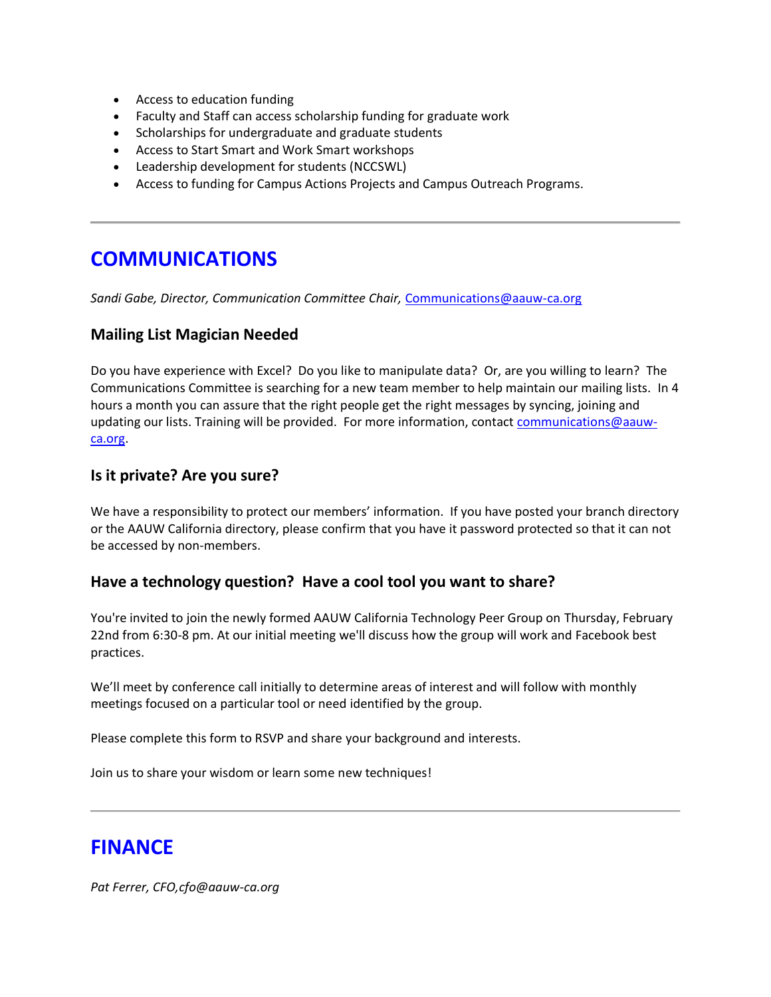- Access to education funding
- Faculty and Staff can access scholarship funding for graduate work
- Scholarships for undergraduate and graduate students
- Access to Start Smart and Work Smart workshops
- Leadership development for students (NCCSWL)
- Access to funding for Campus Actions Projects and Campus Outreach Programs.

# **COMMUNICATIONS**

*Sandi Gabe, Director, Communication Committee Chair,* [Communications@aauw-ca.org](mailto:Communications@aauw-ca.org)

### **Mailing List Magician Needed**

Do you have experience with Excel? Do you like to manipulate data? Or, are you willing to learn? The Communications Committee is searching for a new team member to help maintain our mailing lists. In 4 hours a month you can assure that the right people get the right messages by syncing, joining and updating our lists. Training will be provided. For more information, contact [communications@aauw](mailto:communications@aauw-ca.org)[ca.org.](mailto:communications@aauw-ca.org)

### **Is it private? Are you sure?**

We have a responsibility to protect our members' information. If you have posted your branch directory or the AAUW California directory, please confirm that you have it password protected so that it can not be accessed by non-members.

#### **Have a technology question? Have a cool tool you want to share?**

You're invited to join the newly formed AAUW California Technology Peer Group on Thursday, February 22nd from 6:30-8 pm. At our initial meeting we'll discuss how the group will work and Facebook best practices.

We'll meet by conference call initially to determine areas of interest and will follow with monthly meetings focused on a particular tool or need identified by the group.

Please complete this form to RSVP and share your background and interests.

Join us to share your wisdom or learn some new techniques!

### **FINANCE**

*Pat Ferrer, CFO,cfo@aauw-ca.org*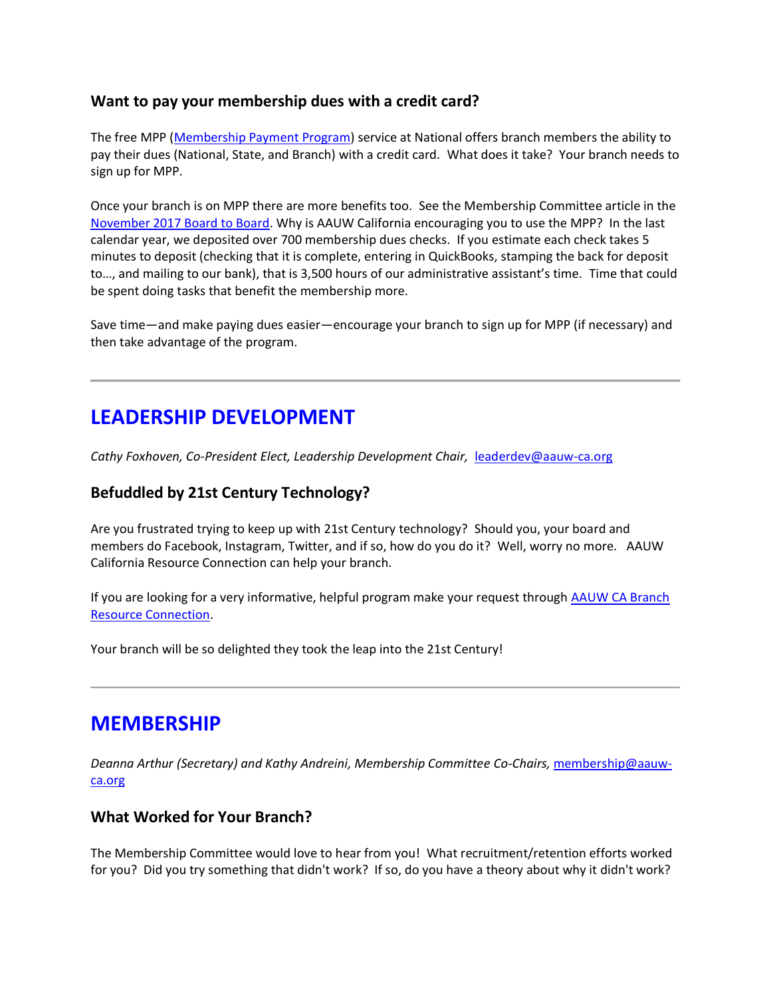### **Want to pay your membership dues with a credit card?**

The free MPP [\(Membership Payment Program\)](https://bor.aauw-ca.org/sendy/l/YlrJ763AeyF892b51vFm0EptRw/xWUaKrtiYQzSVouY0oNFkQ/Exg1GtAXeKFHKLCQQ9cRJw) service at National offers branch members the ability to pay their dues (National, State, and Branch) with a credit card. What does it take? Your branch needs to sign up for MPP.

Once your branch is on MPP there are more benefits too. See the Membership Committee article in the [November 2017 Board to Board.](https://bor.aauw-ca.org/sendy/l/YlrJ763AeyF892b51vFm0EptRw/001GyNlD8ekTJVxIWWpFjg/Exg1GtAXeKFHKLCQQ9cRJw) Why is AAUW California encouraging you to use the MPP? In the last calendar year, we deposited over 700 membership dues checks. If you estimate each check takes 5 minutes to deposit (checking that it is complete, entering in QuickBooks, stamping the back for deposit to…, and mailing to our bank), that is 3,500 hours of our administrative assistant's time. Time that could be spent doing tasks that benefit the membership more.

Save time—and make paying dues easier—encourage your branch to sign up for MPP (if necessary) and then take advantage of the program.

# **LEADERSHIP DEVELOPMENT**

*Cathy Foxhoven, Co-President Elect, Leadership Development Chair,* [leaderdev@aauw-ca.org](mailto:leaderdev@aauw-ca.org)

### **Befuddled by 21st Century Technology?**

Are you frustrated trying to keep up with 21st Century technology? Should you, your board and members do Facebook, Instagram, Twitter, and if so, how do you do it? Well, worry no more. AAUW California Resource Connection can help your branch.

If you are looking for a very informative, helpful program make your request through [AAUW CA Branch](https://bor.aauw-ca.org/sendy/l/YlrJ763AeyF892b51vFm0EptRw/XBXH0lNGKIOG0892s1a763Rfpw/Exg1GtAXeKFHKLCQQ9cRJw)  [Resource Connection.](https://bor.aauw-ca.org/sendy/l/YlrJ763AeyF892b51vFm0EptRw/XBXH0lNGKIOG0892s1a763Rfpw/Exg1GtAXeKFHKLCQQ9cRJw)

Your branch will be so delighted they took the leap into the 21st Century!

### **MEMBERSHIP**

*Deanna Arthur (Secretary) and Kathy Andreini, Membership Committee Co-Chairs,* [membership@aauw](mailto:membership@aauw-ca.org)[ca.org](mailto:membership@aauw-ca.org)

### **What Worked for Your Branch?**

The Membership Committee would love to hear from you! What recruitment/retention efforts worked for you? Did you try something that didn't work? If so, do you have a theory about why it didn't work?